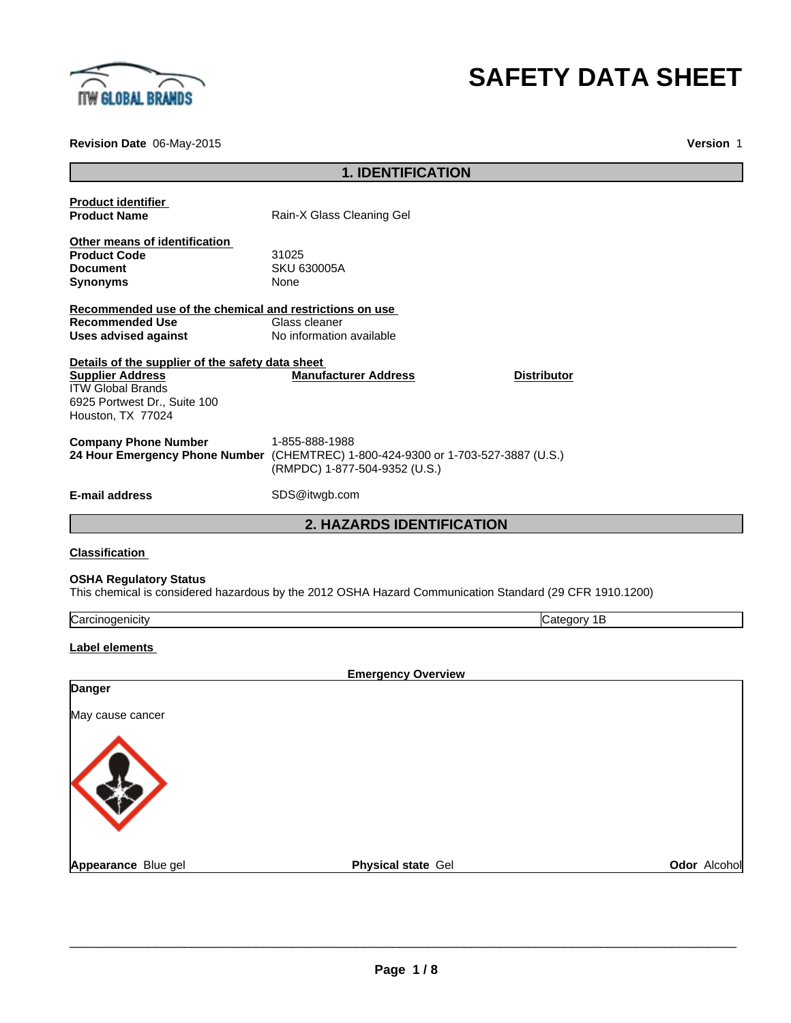

# **SAFETY DATA SHEET**

**Revision Date** 06-May-2015

**Version** 1

|                                                                                                                                                              | <b>1. IDENTIFICATION</b>                                                                                                             |              |
|--------------------------------------------------------------------------------------------------------------------------------------------------------------|--------------------------------------------------------------------------------------------------------------------------------------|--------------|
|                                                                                                                                                              |                                                                                                                                      |              |
| <b>Product identifier</b><br><b>Product Name</b>                                                                                                             | Rain-X Glass Cleaning Gel                                                                                                            |              |
| Other means of identification<br><b>Product Code</b><br><b>Document</b><br><b>Synonyms</b>                                                                   | 31025<br><b>SKU 630005A</b><br>None                                                                                                  |              |
| Recommended use of the chemical and restrictions on use<br><b>Recommended Use</b><br><b>Uses advised against</b>                                             | Glass cleaner<br>No information available                                                                                            |              |
| Details of the supplier of the safety data sheet<br><b>Supplier Address</b><br><b>ITW Global Brands</b><br>6925 Portwest Dr., Suite 100<br>Houston, TX 77024 | <b>Manufacturer Address</b><br><b>Distributor</b>                                                                                    |              |
| <b>Company Phone Number</b>                                                                                                                                  | 1-855-888-1988<br>24 Hour Emergency Phone Number (CHEMTREC) 1-800-424-9300 or 1-703-527-3887 (U.S.)<br>(RMPDC) 1-877-504-9352 (U.S.) |              |
| <b>E-mail address</b>                                                                                                                                        | SDS@itwgb.com                                                                                                                        |              |
|                                                                                                                                                              | 2. HAZARDS IDENTIFICATION                                                                                                            |              |
| <b>Classification</b>                                                                                                                                        |                                                                                                                                      |              |
| <b>OSHA Regulatory Status</b>                                                                                                                                | This chemical is considered hazardous by the 2012 OSHA Hazard Communication Standard (29 CFR 1910.1200)                              |              |
| Carcinogenicity                                                                                                                                              | Category 1B                                                                                                                          |              |
| <b>Label elements</b>                                                                                                                                        |                                                                                                                                      |              |
|                                                                                                                                                              | <b>Emergency Overview</b>                                                                                                            |              |
| Danger                                                                                                                                                       |                                                                                                                                      |              |
| May cause cancer                                                                                                                                             |                                                                                                                                      |              |
|                                                                                                                                                              |                                                                                                                                      |              |
| Appearance Blue gel                                                                                                                                          | Physical state Gel                                                                                                                   | Odor Alcohol |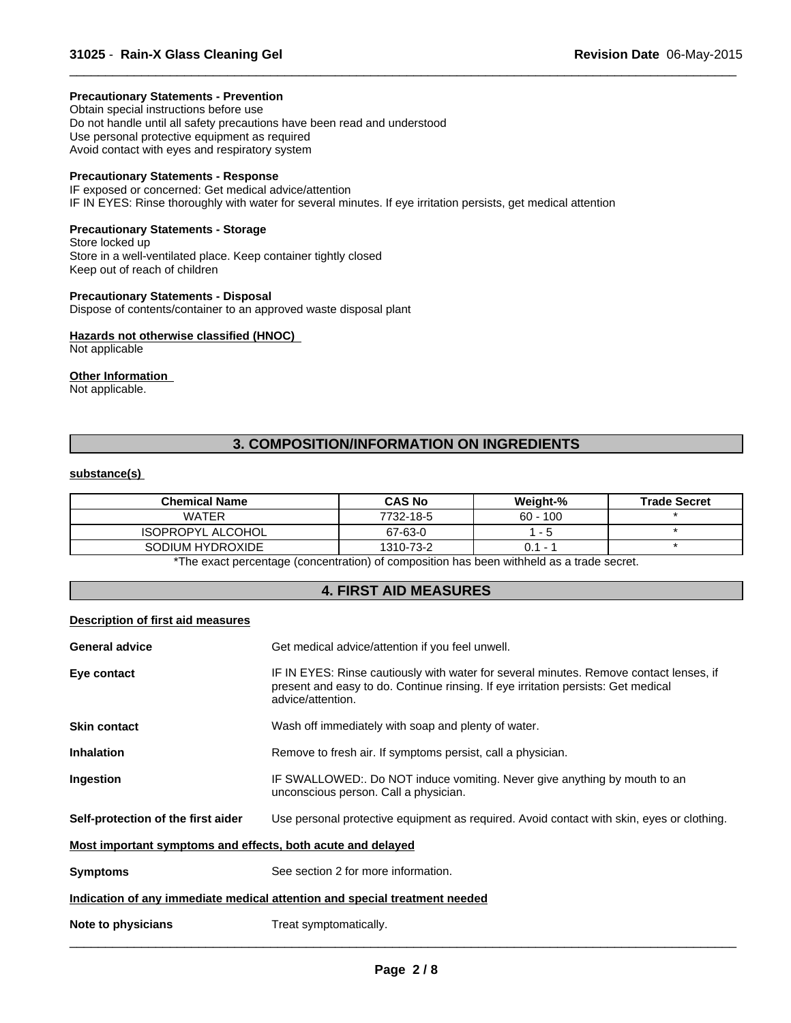### **Precautionary Statements - Prevention**

Obtain special instructions before use Do not handle until all safety precautions have been read and understood Use personal protective equipment as required Avoid contact with eyes and respiratory system

# **Precautionary Statements - Response**

IF exposed or concerned: Get medical advice/attention IF IN EYES: Rinse thoroughly with water for several minutes. If eye irritation persists, get medical attention

# **Precautionary Statements - Storage**

Store locked up Store in a well-ventilated place. Keep container tightly closed Keep out of reach of children

#### **Precautionary Statements - Disposal**

Dispose of contents/container to an approved waste disposal plant

### **Hazards not otherwise classified (HNOC)**

Not applicable

### **Other Information**

Not applicable.

# **3. COMPOSITION/INFORMATION ON INGREDIENTS**

 $\overline{\phantom{a}}$  ,  $\overline{\phantom{a}}$  ,  $\overline{\phantom{a}}$  ,  $\overline{\phantom{a}}$  ,  $\overline{\phantom{a}}$  ,  $\overline{\phantom{a}}$  ,  $\overline{\phantom{a}}$  ,  $\overline{\phantom{a}}$  ,  $\overline{\phantom{a}}$  ,  $\overline{\phantom{a}}$  ,  $\overline{\phantom{a}}$  ,  $\overline{\phantom{a}}$  ,  $\overline{\phantom{a}}$  ,  $\overline{\phantom{a}}$  ,  $\overline{\phantom{a}}$  ,  $\overline{\phantom{a}}$ 

#### **substance(s)**

| <b>Chemical Name</b>     | <b>CAS No</b> | Weight-%                        | <b>Trade Secret</b> |
|--------------------------|---------------|---------------------------------|---------------------|
| WATER                    | 7732-18-5     | $60 - 100$                      |                     |
| <b>ISOPROPYL ALCOHOL</b> | 67-63-0       | - 5                             |                     |
| SODIUM HYDROXIDE         | 1310-73-2     | 0.1<br>$\overline{\phantom{0}}$ |                     |

The exact percentage (concentration) of composition has been withheld as a trade secret.

### **4. FIRST AID MEASURES**

### **Description of first aid measures**

| Get medical advice/attention if you feel unwell.<br><b>General advice</b>                                                       |                                                                                                                                                                                                  |  |  |  |
|---------------------------------------------------------------------------------------------------------------------------------|--------------------------------------------------------------------------------------------------------------------------------------------------------------------------------------------------|--|--|--|
| Eye contact                                                                                                                     | IF IN EYES: Rinse cautiously with water for several minutes. Remove contact lenses, if<br>present and easy to do. Continue rinsing. If eye irritation persists: Get medical<br>advice/attention. |  |  |  |
| <b>Skin contact</b><br>Wash off immediately with soap and plenty of water.                                                      |                                                                                                                                                                                                  |  |  |  |
| <b>Inhalation</b>                                                                                                               | Remove to fresh air. If symptoms persist, call a physician.                                                                                                                                      |  |  |  |
| Ingestion                                                                                                                       | IF SWALLOWED:. Do NOT induce vomiting. Never give anything by mouth to an<br>unconscious person. Call a physician.                                                                               |  |  |  |
| Self-protection of the first aider<br>Use personal protective equipment as required. Avoid contact with skin, eyes or clothing. |                                                                                                                                                                                                  |  |  |  |
| Most important symptoms and effects, both acute and delayed                                                                     |                                                                                                                                                                                                  |  |  |  |
| <b>Symptoms</b>                                                                                                                 | See section 2 for more information.                                                                                                                                                              |  |  |  |
| Indication of any immediate medical attention and special treatment needed                                                      |                                                                                                                                                                                                  |  |  |  |
| Treat symptomatically.<br>Note to physicians                                                                                    |                                                                                                                                                                                                  |  |  |  |
|                                                                                                                                 |                                                                                                                                                                                                  |  |  |  |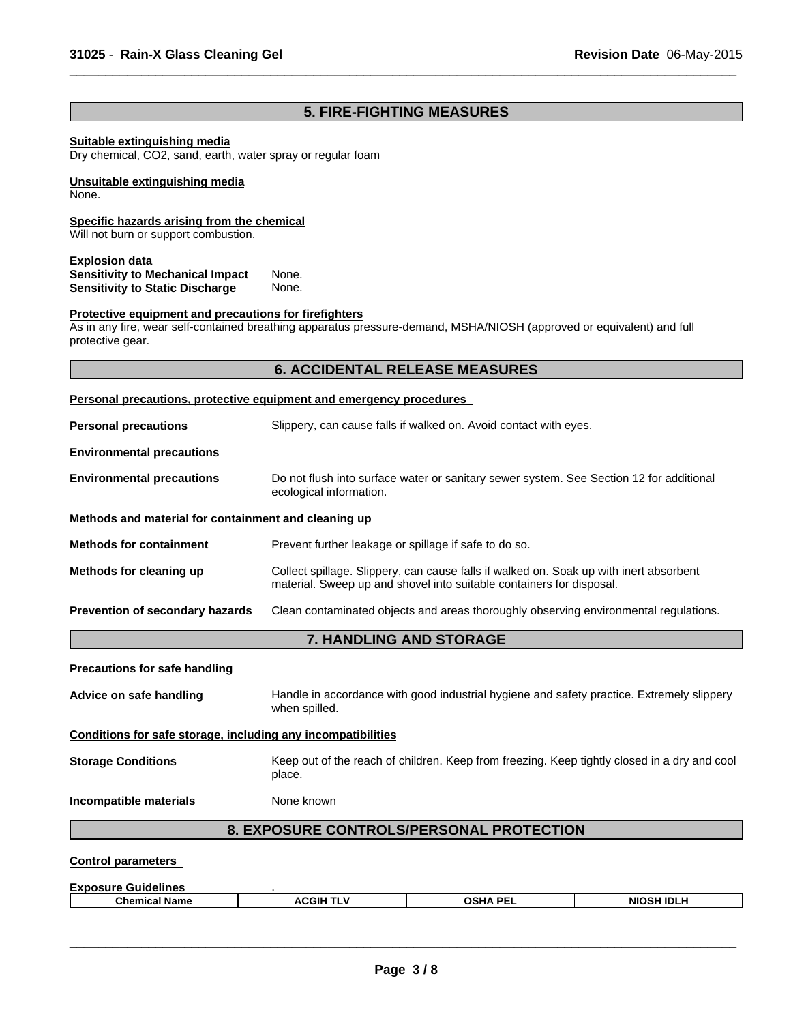# **5. FIRE-FIGHTING MEASURES**

 $\overline{\phantom{a}}$  ,  $\overline{\phantom{a}}$  ,  $\overline{\phantom{a}}$  ,  $\overline{\phantom{a}}$  ,  $\overline{\phantom{a}}$  ,  $\overline{\phantom{a}}$  ,  $\overline{\phantom{a}}$  ,  $\overline{\phantom{a}}$  ,  $\overline{\phantom{a}}$  ,  $\overline{\phantom{a}}$  ,  $\overline{\phantom{a}}$  ,  $\overline{\phantom{a}}$  ,  $\overline{\phantom{a}}$  ,  $\overline{\phantom{a}}$  ,  $\overline{\phantom{a}}$  ,  $\overline{\phantom{a}}$ 

# **Suitable extinguishing media**

Dry chemical, CO2, sand, earth, water spray or regular foam

#### **Unsuitable extinguishing media** None.

#### **Specific hazards arising from the chemical**

Will not burn or support combustion.

### **Explosion data**

| <b>Sensitivity to Mechanical Impact</b> | None. |
|-----------------------------------------|-------|
| <b>Sensitivity to Static Discharge</b>  | None. |

# **Protective equipment and precautions for firefighters**

As in any fire, wear self-contained breathing apparatus pressure-demand, MSHA/NIOSH (approved or equivalent) and full protective gear.

# **6. ACCIDENTAL RELEASE MEASURES**

|                                                                                                                                                                                           | Personal precautions, protective equipment and emergency procedures                  |  |  |  |  |
|-------------------------------------------------------------------------------------------------------------------------------------------------------------------------------------------|--------------------------------------------------------------------------------------|--|--|--|--|
| Slippery, can cause falls if walked on. Avoid contact with eyes.<br><b>Personal precautions</b>                                                                                           |                                                                                      |  |  |  |  |
| <b>Environmental precautions</b>                                                                                                                                                          |                                                                                      |  |  |  |  |
| Do not flush into surface water or sanitary sewer system. See Section 12 for additional<br><b>Environmental precautions</b><br>ecological information.                                    |                                                                                      |  |  |  |  |
| Methods and material for containment and cleaning up                                                                                                                                      |                                                                                      |  |  |  |  |
| <b>Methods for containment</b><br>Prevent further leakage or spillage if safe to do so.                                                                                                   |                                                                                      |  |  |  |  |
| Collect spillage. Slippery, can cause falls if walked on. Soak up with inert absorbent<br>Methods for cleaning up<br>material. Sweep up and shovel into suitable containers for disposal. |                                                                                      |  |  |  |  |
| Prevention of secondary hazards                                                                                                                                                           | Clean contaminated objects and areas thoroughly observing environmental regulations. |  |  |  |  |
|                                                                                                                                                                                           | 7. HANDLING AND STORAGE                                                              |  |  |  |  |
| <b>Precautions for safe handling</b>                                                                                                                                                      |                                                                                      |  |  |  |  |
| Handle in accordance with good industrial hygiene and safety practice. Extremely slippery<br>Advice on safe handling<br>when spilled.                                                     |                                                                                      |  |  |  |  |
| Conditions for safe storage, including any incompatibilities                                                                                                                              |                                                                                      |  |  |  |  |
| <b>Storage Conditions</b><br>Keep out of the reach of children. Keep from freezing. Keep tightly closed in a dry and cool<br>place.                                                       |                                                                                      |  |  |  |  |
| Incompatible materials                                                                                                                                                                    | None known                                                                           |  |  |  |  |
|                                                                                                                                                                                           | 8. EXPOSURE CONTROLS/PERSONAL PROTECTION                                             |  |  |  |  |
| <b>Control parameters</b>                                                                                                                                                                 |                                                                                      |  |  |  |  |

| -<br><br>Expo<br><b>IOCIIP</b><br>Guidelines<br>. |                     |                                  |            |
|---------------------------------------------------|---------------------|----------------------------------|------------|
| <b>Chemical</b><br>∣Name                          | 'CGIH'<br><b>AC</b> | <b>OCHA DE</b><br>╖<br>JJ-<br>-- | NIOSH IDLL |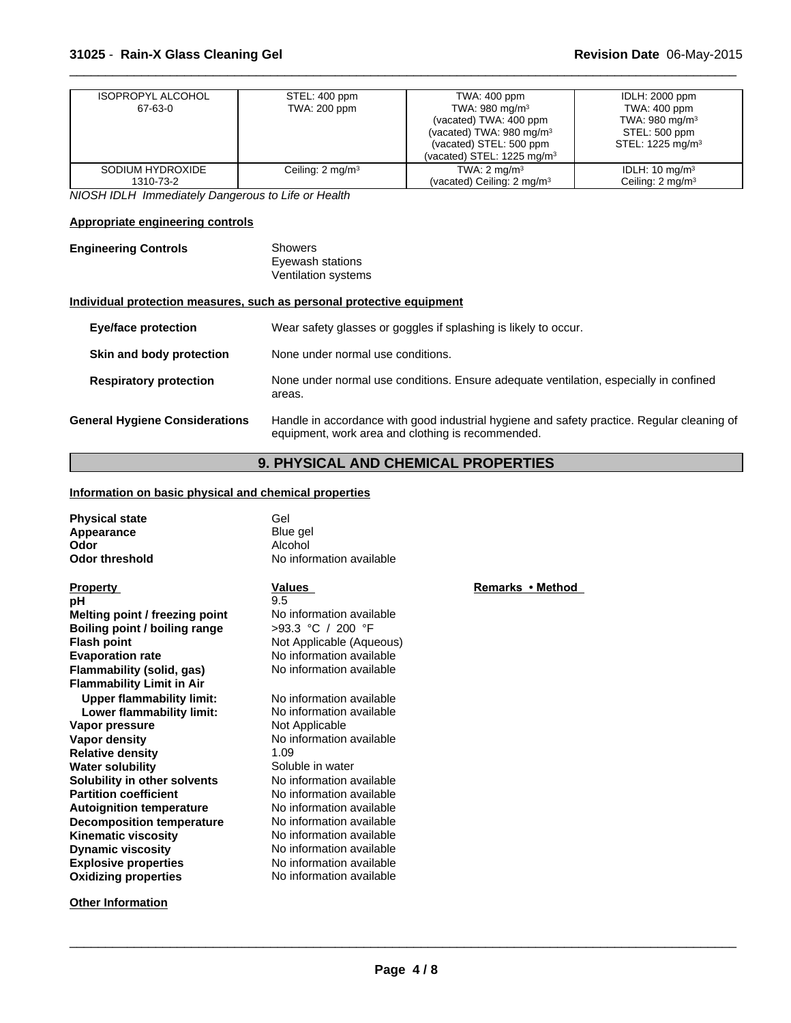| <b>ISOPROPYL ALCOHOL</b> | STEL: 400 ppm                | TWA: 400 ppm                           | <b>IDLH: 2000 ppm</b>        |
|--------------------------|------------------------------|----------------------------------------|------------------------------|
| 67-63-0                  | TWA: 200 ppm                 | TWA: 980 mg/m $3$                      | TWA: 400 ppm                 |
|                          |                              | (vacated) TWA: 400 ppm                 | TWA: 980 mg/m <sup>3</sup>   |
|                          |                              | (vacated) TWA: $980 \text{ mg/m}^3$    | STEL: 500 ppm                |
|                          |                              | (vacated) STEL: 500 ppm                | STEL: 1225 mg/m <sup>3</sup> |
|                          |                              | (vacated) STEL: $1225 \text{ mg/m}^3$  |                              |
| SODIUM HYDROXIDE         | Ceiling: 2 mg/m <sup>3</sup> | TWA: $2 \text{ mg/m}^3$                | IDLH: $10 \text{ mg/m}^3$    |
| 1310-73-2                |                              | (vacated) Ceiling: 2 mg/m <sup>3</sup> | Ceiling: 2 mg/m <sup>3</sup> |

 $\overline{\phantom{a}}$  ,  $\overline{\phantom{a}}$  ,  $\overline{\phantom{a}}$  ,  $\overline{\phantom{a}}$  ,  $\overline{\phantom{a}}$  ,  $\overline{\phantom{a}}$  ,  $\overline{\phantom{a}}$  ,  $\overline{\phantom{a}}$  ,  $\overline{\phantom{a}}$  ,  $\overline{\phantom{a}}$  ,  $\overline{\phantom{a}}$  ,  $\overline{\phantom{a}}$  ,  $\overline{\phantom{a}}$  ,  $\overline{\phantom{a}}$  ,  $\overline{\phantom{a}}$  ,  $\overline{\phantom{a}}$ 

*NIOSH IDLH Immediately Dangerous to Life or Health*

# **Appropriate engineering controls**

| <b>Engineering Controls</b> | Showers             |  |
|-----------------------------|---------------------|--|
|                             | Eyewash stations    |  |
|                             | Ventilation systems |  |

# **Individual protection measures, such as personal protective equipment**

| <b>Eye/face protection</b>            | Wear safety glasses or goggles if splashing is likely to occur.                                                                                 |
|---------------------------------------|-------------------------------------------------------------------------------------------------------------------------------------------------|
| Skin and body protection              | None under normal use conditions.                                                                                                               |
| <b>Respiratory protection</b>         | None under normal use conditions. Ensure adequate ventilation, especially in confined<br>areas.                                                 |
| <b>General Hygiene Considerations</b> | Handle in accordance with good industrial hygiene and safety practice. Regular cleaning of<br>equipment, work area and clothing is recommended. |

# **9. PHYSICAL AND CHEMICAL PROPERTIES**

# **Information on basic physical and chemical properties**

| <b>Physical state</b><br>Appearance<br>Odor | Gel<br>Blue gel<br>Alcohol |                |
|---------------------------------------------|----------------------------|----------------|
| <b>Odor threshold</b>                       | No information available   |                |
| <b>Property</b>                             | <b>Values</b>              | <b>Remarks</b> |
| рH                                          | 9.5                        |                |
| Melting point / freezing point              | No information available   |                |
| Boiling point / boiling range               | $>93.3$ °C / 200 °F        |                |
| <b>Flash point</b>                          | Not Applicable (Aqueous)   |                |
| <b>Evaporation rate</b>                     | No information available   |                |
| Flammability (solid, gas)                   | No information available   |                |
| <b>Flammability Limit in Air</b>            |                            |                |
| <b>Upper flammability limit:</b>            | No information available   |                |
| Lower flammability limit:                   | No information available   |                |
| Vapor pressure                              | Not Applicable             |                |
| Vapor density                               | No information available   |                |
| <b>Relative density</b>                     | 1.09                       |                |
| <b>Water solubility</b>                     | Soluble in water           |                |
| Solubility in other solvents                | No information available   |                |
| <b>Partition coefficient</b>                | No information available   |                |
| <b>Autoignition temperature</b>             | No information available   |                |
| <b>Decomposition temperature</b>            | No information available   |                |
| <b>Kinematic viscosity</b>                  | No information available   |                |
| <b>Dynamic viscosity</b>                    | No information available   |                |
| <b>Explosive properties</b>                 | No information available   |                |
| <b>Oxidizing properties</b>                 | No information available   |                |
|                                             |                            |                |

**Other Information**

**Remarks•Method**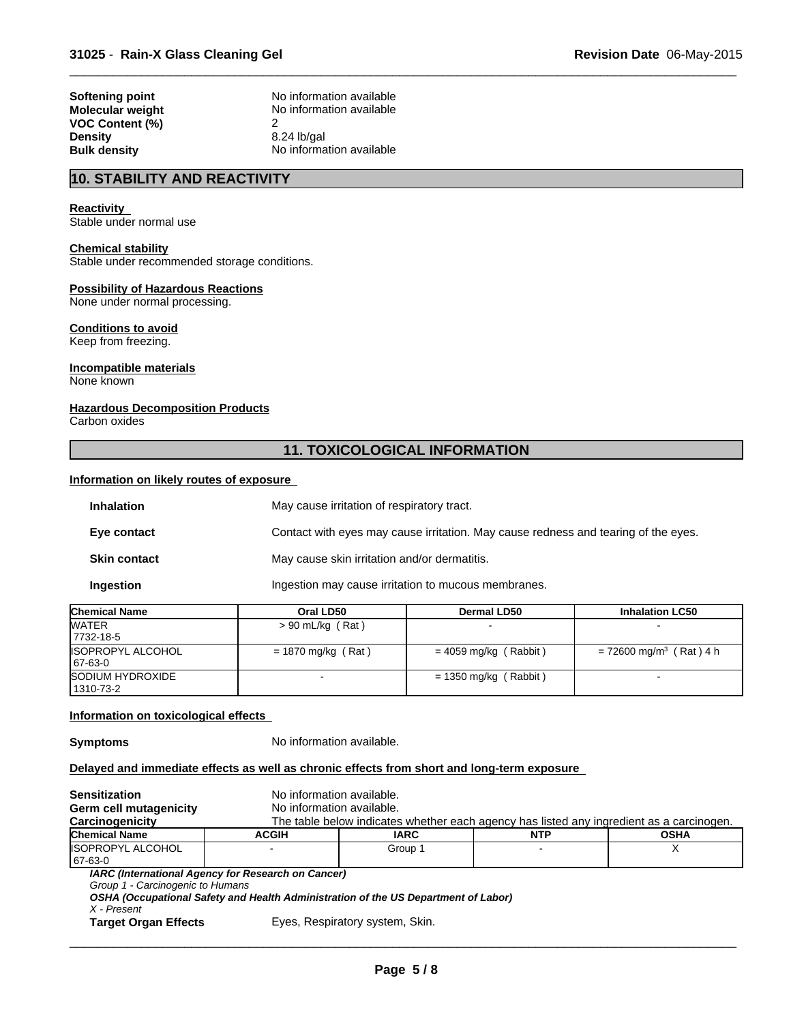**VOC Content (%)** 2 **Density** 8.24 lb/gal<br> **Bulk density Bulk density Reserves** 

**Softening point No information available**<br> **Molecular weight No information available No information available No information available** 

# **10. STABILITY AND REACTIVITY**

#### **Reactivity**

Stable under normal use

# **Chemical stability**

Stable under recommended storage conditions.

#### **Possibility of Hazardous Reactions**

None under normal processing.

# **Conditions to avoid**

Keep from freezing.

### **Incompatible materials**

None known

### **Hazardous Decomposition Products**

Carbon oxides

# **11. TOXICOLOGICAL INFORMATION**

### **Information on likely routes of exposure**

| <b>Inhalation</b>   | May cause irritation of respiratory tract.                                         |  |
|---------------------|------------------------------------------------------------------------------------|--|
| Eye contact         | Contact with eyes may cause irritation. May cause redness and tearing of the eyes. |  |
| <b>Skin contact</b> | May cause skin irritation and/or dermatitis.                                       |  |
| Ingestion           | Ingestion may cause irritation to mucous membranes.                                |  |

| <b>Chemical Name</b>                | Oral LD50            | Dermal LD50             | <b>Inhalation LC50</b>                |
|-------------------------------------|----------------------|-------------------------|---------------------------------------|
| <b>WATER</b><br>17732-18-5          | $> 90$ mL/kg (Rat)   |                         |                                       |
| <b>ISOPROPYL ALCOHOL</b><br>67-63-0 | $= 1870$ mg/kg (Rat) | $= 4059$ mg/kg (Rabbit) | $= 72600$ mg/m <sup>3</sup> (Rat) 4 h |
| SODIUM HYDROXIDE<br>  1310-73-2     |                      | $= 1350$ mg/kg (Rabbit) |                                       |

#### **Information on toxicological effects**

**Symptoms** No information available.

## **Delayed and immediate effects as well as chronic effects from short and long-term exposure**

| Sensitization                    | No information available.                                                          |                                                                                          |            |             |  |
|----------------------------------|------------------------------------------------------------------------------------|------------------------------------------------------------------------------------------|------------|-------------|--|
| Germ cell mutagenicity           | No information available.                                                          |                                                                                          |            |             |  |
| Carcinogenicity                  |                                                                                    | The table below indicates whether each agency has listed any ingredient as a carcinogen. |            |             |  |
| Chemical Name                    | <b>ACGIH</b>                                                                       | <b>IARC</b>                                                                              | <b>NTP</b> | <b>OSHA</b> |  |
| IISOPROPYL ALCOHOL               |                                                                                    | Group 1                                                                                  |            |             |  |
| 67-63-0                          |                                                                                    |                                                                                          |            |             |  |
|                                  | IARC (International Agency for Research on Cancer)                                 |                                                                                          |            |             |  |
| Group 1 - Carcinogenic to Humans |                                                                                    |                                                                                          |            |             |  |
|                                  | OSHA (Occupational Safety and Health Administration of the US Department of Labor) |                                                                                          |            |             |  |
| X - Present                      |                                                                                    |                                                                                          |            |             |  |
| <b>Target Organ Effects</b>      |                                                                                    | Eyes, Respiratory system, Skin.                                                          |            |             |  |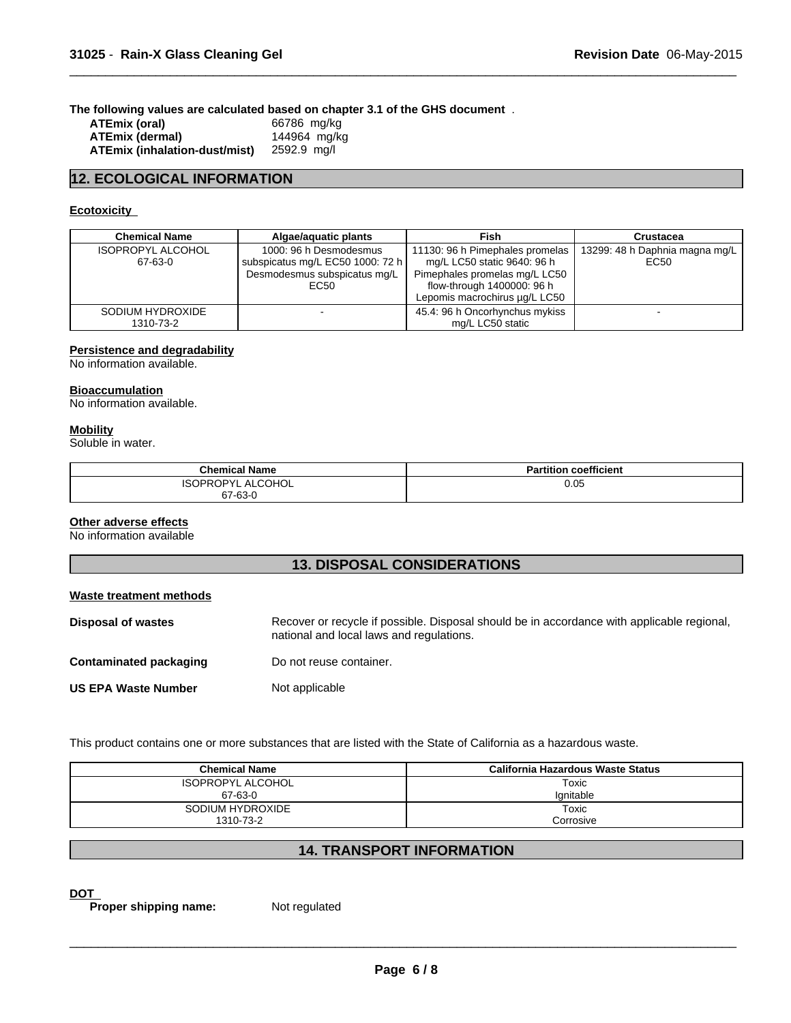**The following values are calculated based on chapter 3.1 of the GHS document** .

| ATEmix (oral)                 | 66786 mg/kg  |
|-------------------------------|--------------|
| ATEmix (dermal)               | 144964 mg/kg |
| ATEmix (inhalation-dust/mist) | 2592.9 mg/l  |

# **12. ECOLOGICAL INFORMATION**

# **Ecotoxicity**

| <b>Chemical Name</b>                | Algae/aguatic plants                                                                               | <b>Fish</b>                                                                                                                                                    | Crustacea                              |
|-------------------------------------|----------------------------------------------------------------------------------------------------|----------------------------------------------------------------------------------------------------------------------------------------------------------------|----------------------------------------|
| <b>ISOPROPYL ALCOHOL</b><br>67-63-0 | 1000: 96 h Desmodesmus<br>subspicatus mg/L EC50 1000: 72 h<br>Desmodesmus subspicatus mg/L<br>EC50 | 11130: 96 h Pimephales promelas<br>mg/L LC50 static 9640: 96 h<br>Pimephales promelas mg/L LC50<br>flow-through 1400000: 96 h<br>Lepomis macrochirus µg/L LC50 | 13299: 48 h Daphnia magna mg/L<br>EC50 |
| SODIUM HYDROXIDE<br>1310-73-2       |                                                                                                    | 45.4: 96 h Oncorhynchus mykiss<br>mg/L LC50 static                                                                                                             |                                        |

 $\overline{\phantom{a}}$  ,  $\overline{\phantom{a}}$  ,  $\overline{\phantom{a}}$  ,  $\overline{\phantom{a}}$  ,  $\overline{\phantom{a}}$  ,  $\overline{\phantom{a}}$  ,  $\overline{\phantom{a}}$  ,  $\overline{\phantom{a}}$  ,  $\overline{\phantom{a}}$  ,  $\overline{\phantom{a}}$  ,  $\overline{\phantom{a}}$  ,  $\overline{\phantom{a}}$  ,  $\overline{\phantom{a}}$  ,  $\overline{\phantom{a}}$  ,  $\overline{\phantom{a}}$  ,  $\overline{\phantom{a}}$ 

#### **Persistence and degradability**

No information available.

### **Bioaccumulation**

No information available.

### **Mobility**

Soluble in water.

| <b>Chemical Name</b> | <b>Partition coefficient</b> |
|----------------------|------------------------------|
| ISOPROPYL ALCOHOL    | 0.05                         |
| 67-63-0              |                              |

### **Other adverse effects**

No information available

# **13. DISPOSAL CONSIDERATIONS**

### **Waste treatment methods**

| Disposal of wastes         | Recover or recycle if possible. Disposal should be in accordance with applicable regional,<br>national and local laws and regulations. |
|----------------------------|----------------------------------------------------------------------------------------------------------------------------------------|
| Contaminated packaging     | Do not reuse container.                                                                                                                |
| <b>US EPA Waste Number</b> | Not applicable                                                                                                                         |

This product contains one or more substances that are listed with the State of California as a hazardous waste.

| <b>Chemical Name</b>     | California Hazardous Waste Status |
|--------------------------|-----------------------------------|
| <b>ISOPROPYL ALCOHOL</b> | Toxic                             |
| 67-63-0                  | Ignitable                         |
| SODIUM HYDROXIDE         | Toxic                             |
| 1310-73-2                | Corrosive                         |

# **14. TRANSPORT INFORMATION**

**DOT Proper shipping name:** Not regulated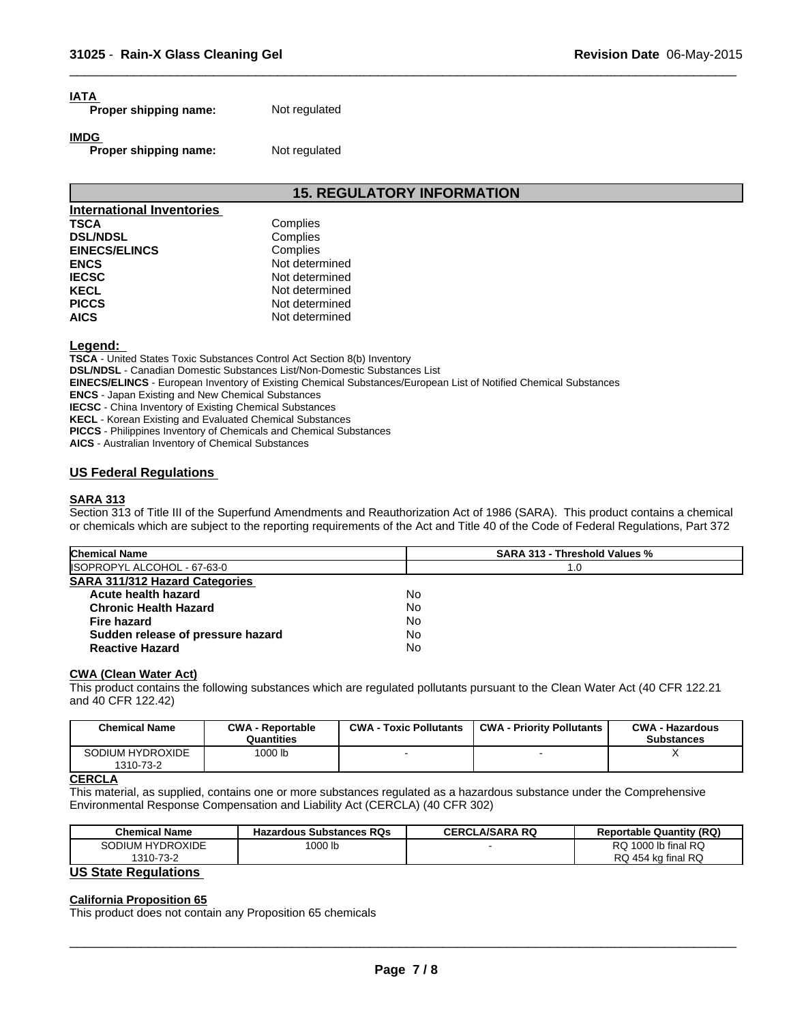# **IATA**

**Proper shipping name:** Not regulated

**IMDG** 

**Proper shipping name:** Not regulated

# **15. REGULATORY INFORMATION**

 $\overline{\phantom{a}}$  ,  $\overline{\phantom{a}}$  ,  $\overline{\phantom{a}}$  ,  $\overline{\phantom{a}}$  ,  $\overline{\phantom{a}}$  ,  $\overline{\phantom{a}}$  ,  $\overline{\phantom{a}}$  ,  $\overline{\phantom{a}}$  ,  $\overline{\phantom{a}}$  ,  $\overline{\phantom{a}}$  ,  $\overline{\phantom{a}}$  ,  $\overline{\phantom{a}}$  ,  $\overline{\phantom{a}}$  ,  $\overline{\phantom{a}}$  ,  $\overline{\phantom{a}}$  ,  $\overline{\phantom{a}}$ 

| <b>International Inventories</b> |                |
|----------------------------------|----------------|
| <b>TSCA</b>                      | Complies       |
| <b>DSL/NDSL</b>                  | Complies       |
| <b>EINECS/ELINCS</b>             | Complies       |
| <b>ENCS</b>                      | Not determined |
| <b>IECSC</b>                     | Not determined |
| <b>KECL</b>                      | Not determined |
| <b>PICCS</b>                     | Not determined |
| <b>AICS</b>                      | Not determined |

**Legend:** 

**TSCA** - United States Toxic Substances Control Act Section 8(b) Inventory

**DSL/NDSL** - Canadian Domestic Substances List/Non-Domestic Substances List

**EINECS/ELINCS** - European Inventory of Existing Chemical Substances/European List of Notified Chemical Substances

**ENCS** - Japan Existing and New Chemical Substances

**IECSC** - China Inventory of Existing Chemical Substances

**KECL** - Korean Existing and Evaluated Chemical Substances

**PICCS** - Philippines Inventory of Chemicals and Chemical Substances

**AICS** - Australian Inventory of Chemical Substances

# **US Federal Regulations**

### **SARA 313**

Section 313 of Title III of the Superfund Amendments and Reauthorization Act of 1986 (SARA). This product contains a chemical or chemicals which are subject to the reporting requirements of the Act and Title 40 of the Code of Federal Regulations, Part 372

| <b>Chemical Name</b>                  | <b>SARA 313 - Threshold Values %</b> |  |
|---------------------------------------|--------------------------------------|--|
| ISOPROPYL ALCOHOL - 67-63-0           | 1.0                                  |  |
| <b>SARA 311/312 Hazard Categories</b> |                                      |  |
| Acute health hazard                   | No                                   |  |
| <b>Chronic Health Hazard</b>          | No                                   |  |
| Fire hazard                           | No                                   |  |
| Sudden release of pressure hazard     | No                                   |  |
| <b>Reactive Hazard</b>                | No                                   |  |

### **CWA (Clean Water Act)**

This product contains the following substances which are regulated pollutants pursuant to the Clean Water Act (40 CFR 122.21 and 40 CFR 122.42)

| <b>Chemical Name</b>          | <b>CWA - Reportable</b><br>Quantities | <b>CWA - Toxic Pollutants</b> | <b>CWA - Priority Pollutants</b> | <b>CWA - Hazardous</b><br><b>Substances</b> |
|-------------------------------|---------------------------------------|-------------------------------|----------------------------------|---------------------------------------------|
| SODIUM HYDROXIDE<br>1310-73-2 | 1000 lb                               |                               |                                  |                                             |

### **CERCLA**

This material, as supplied, contains one or more substances regulated as a hazardous substance under the Comprehensive Environmental Response Compensation and Liability Act (CERCLA) (40 CFR 302)

| <b>Chemical Name</b> | <b>Hazardous Substances RQs</b> | CERCLA/SARA RQ | <b>Reportable Quantity (RQ)</b> |
|----------------------|---------------------------------|----------------|---------------------------------|
| SODIUM HYDROXIDE     | 1000 lb                         |                | RQ 1000 lb final RQ             |
| 1310-73-2<br>$\sim$  |                                 |                | RQ 454 kg final RQ              |

### **US State Regulations**

### **California Proposition 65**

This product does not contain any Proposition 65 chemicals